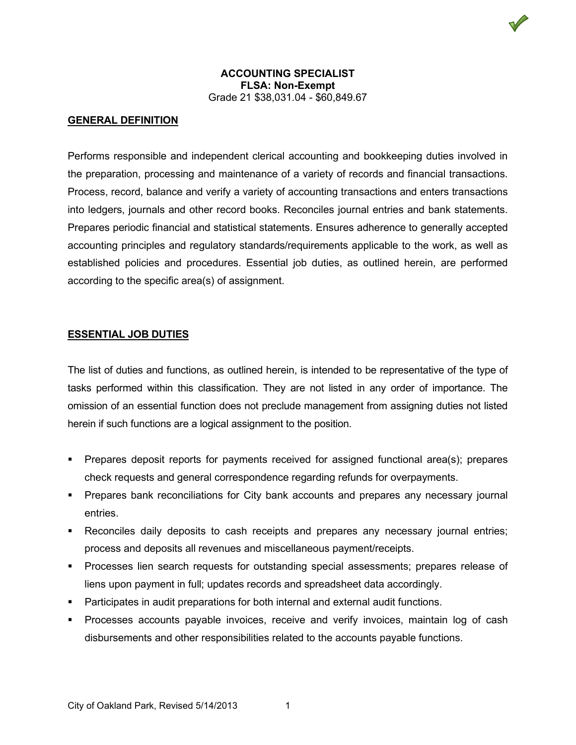## **GENERAL DEFINITION**

Performs responsible and independent clerical accounting and bookkeeping duties involved in the preparation, processing and maintenance of a variety of records and financial transactions. Process, record, balance and verify a variety of accounting transactions and enters transactions into ledgers, journals and other record books. Reconciles journal entries and bank statements. Prepares periodic financial and statistical statements. Ensures adherence to generally accepted accounting principles and regulatory standards/requirements applicable to the work, as well as established policies and procedures. Essential job duties, as outlined herein, are performed according to the specific area(s) of assignment.

#### **ESSENTIAL JOB DUTIES**

The list of duties and functions, as outlined herein, is intended to be representative of the type of tasks performed within this classification. They are not listed in any order of importance. The omission of an essential function does not preclude management from assigning duties not listed herein if such functions are a logical assignment to the position.

- Prepares deposit reports for payments received for assigned functional area(s); prepares check requests and general correspondence regarding refunds for overpayments.
- **Prepares bank reconciliations for City bank accounts and prepares any necessary journal** entries.
- Reconciles daily deposits to cash receipts and prepares any necessary journal entries; process and deposits all revenues and miscellaneous payment/receipts.
- Processes lien search requests for outstanding special assessments; prepares release of liens upon payment in full; updates records and spreadsheet data accordingly.
- Participates in audit preparations for both internal and external audit functions.
- Processes accounts payable invoices, receive and verify invoices, maintain log of cash disbursements and other responsibilities related to the accounts payable functions.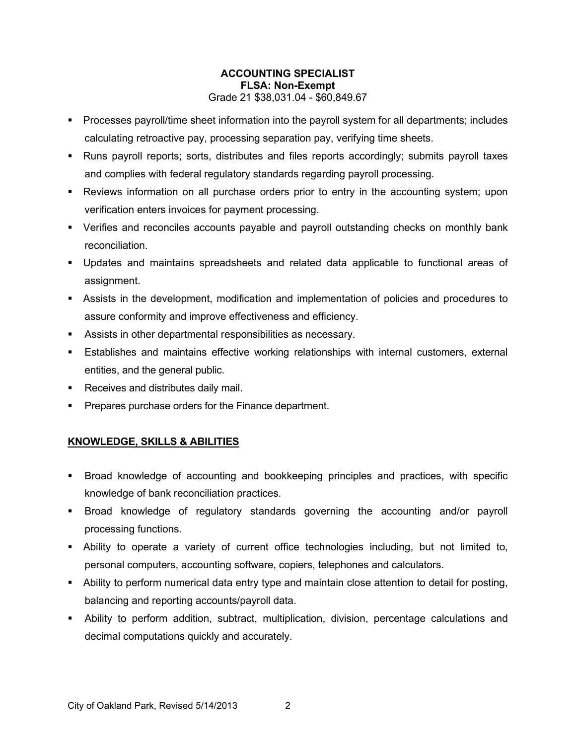- Processes payroll/time sheet information into the payroll system for all departments; includes calculating retroactive pay, processing separation pay, verifying time sheets.
- Runs payroll reports; sorts, distributes and files reports accordingly; submits payroll taxes and complies with federal regulatory standards regarding payroll processing.
- Reviews information on all purchase orders prior to entry in the accounting system; upon verification enters invoices for payment processing.
- Verifies and reconciles accounts payable and payroll outstanding checks on monthly bank reconciliation.
- Updates and maintains spreadsheets and related data applicable to functional areas of assignment.
- Assists in the development, modification and implementation of policies and procedures to assure conformity and improve effectiveness and efficiency.
- Assists in other departmental responsibilities as necessary.
- Establishes and maintains effective working relationships with internal customers, external entities, and the general public.
- Receives and distributes daily mail.
- **Prepares purchase orders for the Finance department.**

# **KNOWLEDGE, SKILLS & ABILITIES**

- Broad knowledge of accounting and bookkeeping principles and practices, with specific knowledge of bank reconciliation practices.
- Broad knowledge of regulatory standards governing the accounting and/or payroll processing functions.
- Ability to operate a variety of current office technologies including, but not limited to, personal computers, accounting software, copiers, telephones and calculators.
- Ability to perform numerical data entry type and maintain close attention to detail for posting, balancing and reporting accounts/payroll data.
- Ability to perform addition, subtract, multiplication, division, percentage calculations and decimal computations quickly and accurately.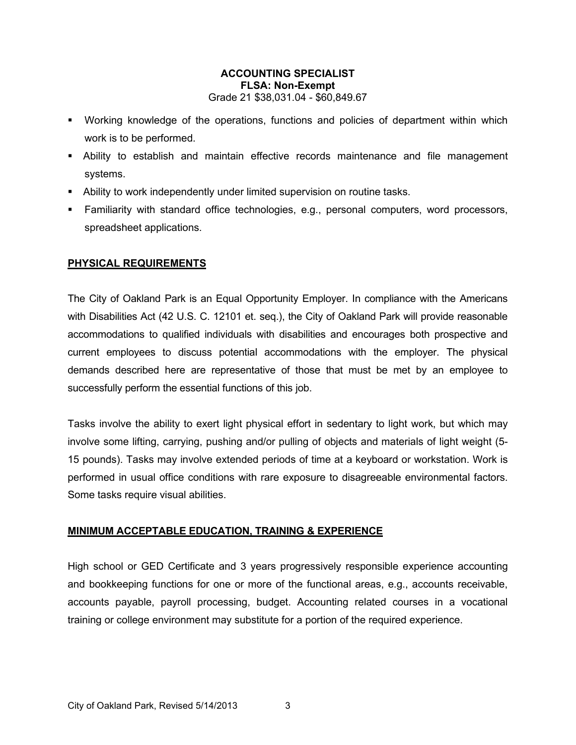- Working knowledge of the operations, functions and policies of department within which work is to be performed.
- Ability to establish and maintain effective records maintenance and file management systems.
- Ability to work independently under limited supervision on routine tasks.
- Familiarity with standard office technologies, e.g., personal computers, word processors, spreadsheet applications.

### **PHYSICAL REQUIREMENTS**

The City of Oakland Park is an Equal Opportunity Employer. In compliance with the Americans with Disabilities Act (42 U.S. C. 12101 et. seq.), the City of Oakland Park will provide reasonable accommodations to qualified individuals with disabilities and encourages both prospective and current employees to discuss potential accommodations with the employer. The physical demands described here are representative of those that must be met by an employee to successfully perform the essential functions of this job.

Tasks involve the ability to exert light physical effort in sedentary to light work, but which may involve some lifting, carrying, pushing and/or pulling of objects and materials of light weight (5- 15 pounds). Tasks may involve extended periods of time at a keyboard or workstation. Work is performed in usual office conditions with rare exposure to disagreeable environmental factors. Some tasks require visual abilities.

## **MINIMUM ACCEPTABLE EDUCATION, TRAINING & EXPERIENCE**

High school or GED Certificate and 3 years progressively responsible experience accounting and bookkeeping functions for one or more of the functional areas, e.g., accounts receivable, accounts payable, payroll processing, budget. Accounting related courses in a vocational training or college environment may substitute for a portion of the required experience.